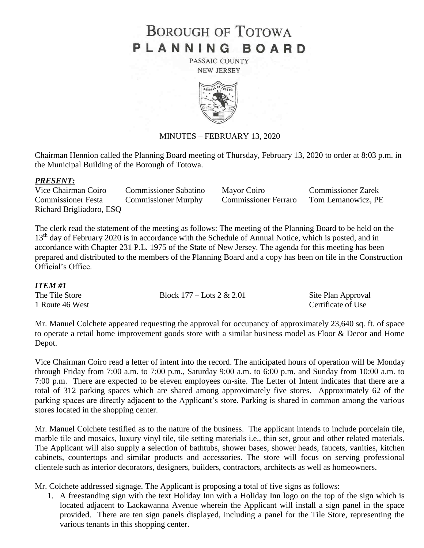# **BOROUGH OF TOTOWA** PLANNING BOARD

PASSAIC COUNTY **NEW JERSEY** 



#### MINUTES – FEBRUARY 13, 2020

Chairman Hennion called the Planning Board meeting of Thursday, February 13, 2020 to order at 8:03 p.m. in the Municipal Building of the Borough of Totowa.

#### *PRESENT:*

Vice Chairman Coiro Commissioner Sabatino Mayor Coiro Commissioner Zarek Commissioner Festa Commissioner Murphy Commissioner Ferraro Tom Lemanowicz, PE Richard Brigliadoro, ESQ

The clerk read the statement of the meeting as follows: The meeting of the Planning Board to be held on the 13<sup>th</sup> day of February 2020 is in accordance with the Schedule of Annual Notice, which is posted, and in accordance with Chapter 231 P.L. 1975 of the State of New Jersey. The agenda for this meeting has been prepared and distributed to the members of the Planning Board and a copy has been on file in the Construction Official's Office.

#### *ITEM #1*

The Tile Store Block 177 – Lots 2 & 2.01 Site Plan Approval 1 Route 46 West Certificate of Use

Mr. Manuel Colchete appeared requesting the approval for occupancy of approximately 23,640 sq. ft. of space to operate a retail home improvement goods store with a similar business model as Floor & Decor and Home Depot.

Vice Chairman Coiro read a letter of intent into the record. The anticipated hours of operation will be Monday through Friday from 7:00 a.m. to 7:00 p.m., Saturday 9:00 a.m. to 6:00 p.m. and Sunday from 10:00 a.m. to 7:00 p.m. There are expected to be eleven employees on-site. The Letter of Intent indicates that there are a total of 312 parking spaces which are shared among approximately five stores. Approximately 62 of the parking spaces are directly adjacent to the Applicant's store. Parking is shared in common among the various stores located in the shopping center.

Mr. Manuel Colchete testified as to the nature of the business. The applicant intends to include porcelain tile, marble tile and mosaics, luxury vinyl tile, tile setting materials i.e., thin set, grout and other related materials. The Applicant will also supply a selection of bathtubs, shower bases, shower heads, faucets, vanities, kitchen cabinets, countertops and similar products and accessories. The store will focus on serving professional clientele such as interior decorators, designers, builders, contractors, architects as well as homeowners.

Mr. Colchete addressed signage. The Applicant is proposing a total of five signs as follows:

1. A freestanding sign with the text Holiday Inn with a Holiday Inn logo on the top of the sign which is located adjacent to Lackawanna Avenue wherein the Applicant will install a sign panel in the space provided. There are ten sign panels displayed, including a panel for the Tile Store, representing the various tenants in this shopping center.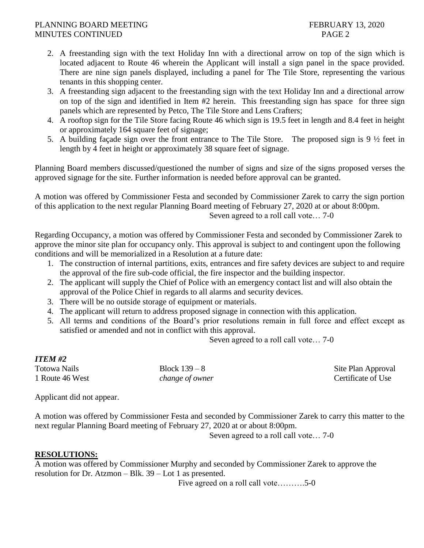### PLANNING BOARD MEETING FEBRUARY 13, 2020 MINUTES CONTINUED PAGE 2

- 2. A freestanding sign with the text Holiday Inn with a directional arrow on top of the sign which is located adjacent to Route 46 wherein the Applicant will install a sign panel in the space provided. There are nine sign panels displayed, including a panel for The Tile Store, representing the various tenants in this shopping center.
- 3. A freestanding sign adjacent to the freestanding sign with the text Holiday Inn and a directional arrow on top of the sign and identified in Item #2 herein. This freestanding sign has space for three sign panels which are represented by Petco, The Tile Store and Lens Crafters;
- 4. A rooftop sign for the Tile Store facing Route 46 which sign is 19.5 feet in length and 8.4 feet in height or approximately 164 square feet of signage;
- 5. A building façade sign over the front entrance to The Tile Store. The proposed sign is 9 ½ feet in length by 4 feet in height or approximately 38 square feet of signage.

Planning Board members discussed/questioned the number of signs and size of the signs proposed verses the approved signage for the site. Further information is needed before approval can be granted.

A motion was offered by Commissioner Festa and seconded by Commissioner Zarek to carry the sign portion of this application to the next regular Planning Board meeting of February 27, 2020 at or about 8:00pm. Seven agreed to a roll call vote… 7-0

Regarding Occupancy, a motion was offered by Commissioner Festa and seconded by Commissioner Zarek to approve the minor site plan for occupancy only. This approval is subject to and contingent upon the following conditions and will be memorialized in a Resolution at a future date:

- 1. The construction of internal partitions, exits, entrances and fire safety devices are subject to and require the approval of the fire sub-code official, the fire inspector and the building inspector.
- 2. The applicant will supply the Chief of Police with an emergency contact list and will also obtain the approval of the Police Chief in regards to all alarms and security devices.
- 3. There will be no outside storage of equipment or materials.
- 4. The applicant will return to address proposed signage in connection with this application.
- 5. All terms and conditions of the Board's prior resolutions remain in full force and effect except as satisfied or amended and not in conflict with this approval.

Seven agreed to a roll call vote… 7-0

| <b>ITEM #2</b>                  |                                  |                                          |
|---------------------------------|----------------------------------|------------------------------------------|
| Totowa Nails<br>1 Route 46 West | Block $139-8$<br>change of owner | Site Plan Approval<br>Certificate of Use |
|                                 |                                  |                                          |

Applicant did not appear.

A motion was offered by Commissioner Festa and seconded by Commissioner Zarek to carry this matter to the next regular Planning Board meeting of February 27, 2020 at or about 8:00pm.

Seven agreed to a roll call vote… 7-0

## **RESOLUTIONS:**

A motion was offered by Commissioner Murphy and seconded by Commissioner Zarek to approve the resolution for Dr. Atzmon – Blk. 39 – Lot 1 as presented.

Five agreed on a roll call vote……….5-0